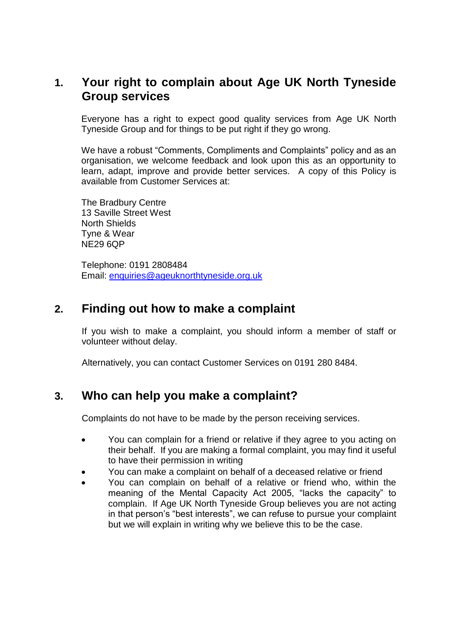### **1. Your right to complain about Age UK North Tyneside Group services**

Everyone has a right to expect good quality services from Age UK North Tyneside Group and for things to be put right if they go wrong.

We have a robust "Comments, Compliments and Complaints" policy and as an organisation, we welcome feedback and look upon this as an opportunity to learn, adapt, improve and provide better services. A copy of this Policy is available from Customer Services at:

The Bradbury Centre 13 Saville Street West North Shields Tyne & Wear NE29 6QP

Telephone: 0191 2808484 Email: [enquiries@ageuknorthtyneside.org.uk](mailto:enquiries@ageuknorthtyneside.org.uk)

### **2. Finding out how to make a complaint**

If you wish to make a complaint, you should inform a member of staff or volunteer without delay.

Alternatively, you can contact Customer Services on 0191 280 8484.

### **3. Who can help you make a complaint?**

Complaints do not have to be made by the person receiving services.

- You can complain for a friend or relative if they agree to you acting on their behalf. If you are making a formal complaint, you may find it useful to have their permission in writing
- You can make a complaint on behalf of a deceased relative or friend
- You can complain on behalf of a relative or friend who, within the meaning of the Mental Capacity Act 2005, "lacks the capacity" to complain. If Age UK North Tyneside Group believes you are not acting in that person's "best interests", we can refuse to pursue your complaint but we will explain in writing why we believe this to be the case.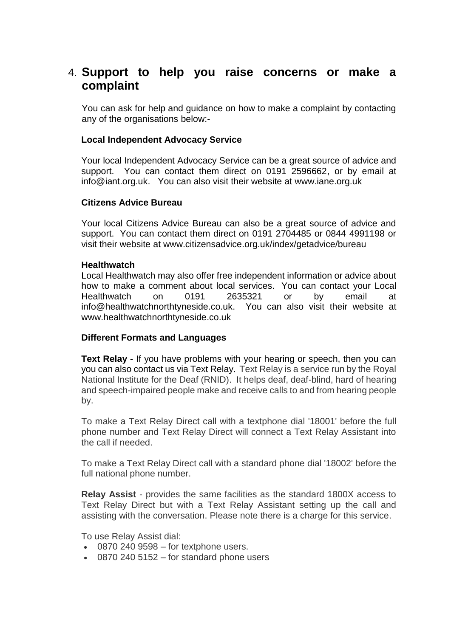### 4. **Support to help you raise concerns or make a complaint**

You can ask for help and guidance on how to make a complaint by contacting any of the organisations below:-

#### **Local Independent Advocacy Service**

Your local Independent Advocacy Service can be a great source of advice and support. You can contact them direct on 0191 2596662, or by email at info@iant.org.uk. You can also visit their website at www.iane.org.uk

#### **Citizens Advice Bureau**

Your local Citizens Advice Bureau can also be a great source of advice and support. You can contact them direct on 0191 2704485 or 0844 4991198 or visit their website at www.citizensadvice.org.uk/index/getadvice/bureau

#### **Healthwatch**

Local Healthwatch may also offer free independent information or advice about how to make a comment about local services. You can contact your Local Healthwatch on 0191 2635321 or by email at info@healthwatchnorthtyneside.co.uk. You can also visit their website at www.healthwatchnorthtyneside.co.uk

#### **Different Formats and Languages**

**Text Relay -** If you have problems with your hearing or speech, then you can you can also contact us via [Text Relay](http://www.textrelay.org/). Text Relay is a service run by the Royal National Institute for the Deaf (RNID). It helps deaf, deaf-blind, hard of hearing and speech-impaired people make and receive calls to and from hearing people by.

To make a Text Relay Direct call with a textphone dial '18001' before the full phone number and Text Relay Direct will connect a Text Relay Assistant into the call if needed.

To make a Text Relay Direct call with a standard phone dial '18002' before the full national phone number.

**Relay Assist** - provides the same facilities as the standard 1800X access to Text Relay Direct but with a Text Relay Assistant setting up the call and assisting with the conversation. Please note there is a charge for this service.

To use Relay Assist dial:

- $\cdot$  0870 240 9598 for textphone users.
- 0870 240 5152 for standard phone users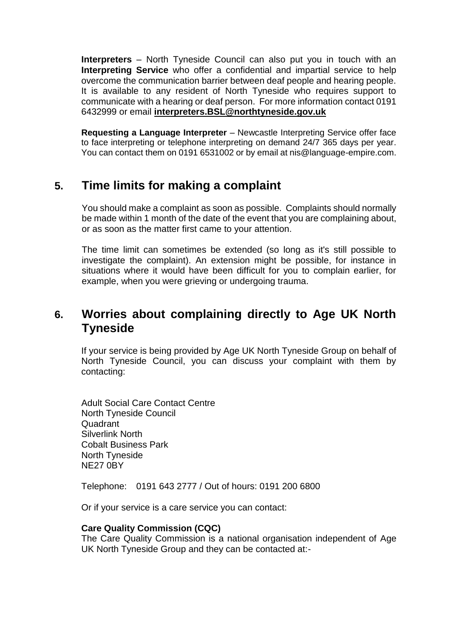**Interpreters** – North Tyneside Council can also put you in touch with an **Interpreting Service** who offer a confidential and impartial service to help overcome the communication barrier between deaf people and hearing people. It is available to any resident of North Tyneside who requires support to communicate with a hearing or deaf person. For more information contact 0191 6432999 or email **[interpreters.BSL@northtyneside.gov.uk](mailto:interpreters.BSL@northtyneside.gov.uk)**

**Requesting a Language Interpreter** – Newcastle Interpreting Service offer face to face interpreting or telephone interpreting on demand 24/7 365 days per year. You can contact them on 0191 6531002 or by email at nis@language-empire.com.

# **5. Time limits for making a complaint**

You should make a complaint as soon as possible. Complaints should normally be made within 1 month of the date of the event that you are complaining about, or as soon as the matter first came to your attention.

The time limit can sometimes be extended (so long as it's still possible to investigate the complaint). An extension might be possible, for instance in situations where it would have been difficult for you to complain earlier, for example, when you were grieving or undergoing trauma.

## **6. Worries about complaining directly to Age UK North Tyneside**

If your service is being provided by Age UK North Tyneside Group on behalf of North Tyneside Council, you can discuss your complaint with them by contacting:

Adult Social Care Contact Centre North Tyneside Council Quadrant Silverlink North Cobalt Business Park North Tyneside NE27 0BY

Telephone: 0191 643 2777 / Out of hours: 0191 200 6800

Or if your service is a care service you can contact:

#### **Care Quality Commission (CQC)**

The Care Quality Commission is a national organisation independent of Age UK North Tyneside Group and they can be contacted at:-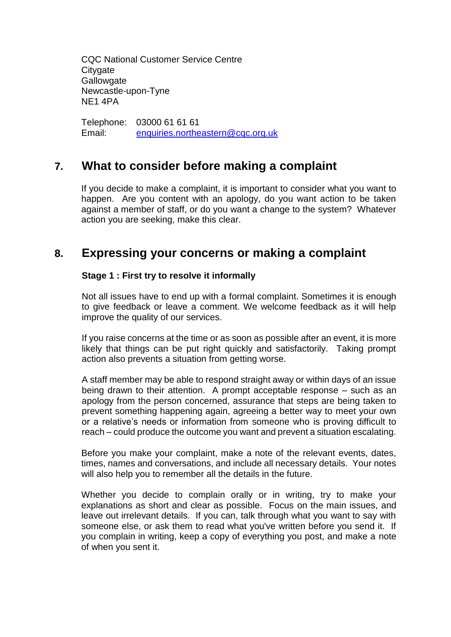CQC National Customer Service Centre **Citygate Gallowgate** Newcastle-upon-Tyne NE1 4PA

Telephone: 03000 61 61 61 Email: [enquiries.northeastern@cqc.org.uk](mailto:enquiries.northeastern@cqc.org.uk)

### **7. What to consider before making a complaint**

If you decide to make a complaint, it is important to consider what you want to happen. Are you content with an apology, do you want action to be taken against a member of staff, or do you want a change to the system? Whatever action you are seeking, make this clear.

### **8. Expressing your concerns or making a complaint**

### **Stage 1 : First try to resolve it informally**

Not all issues have to end up with a formal complaint. Sometimes it is enough to give feedback or leave a comment. We welcome feedback as it will help improve the quality of our services.

If you raise concerns at the time or as soon as possible after an event, it is more likely that things can be put right quickly and satisfactorily. Taking prompt action also prevents a situation from getting worse.

A staff member may be able to respond straight away or within days of an issue being drawn to their attention. A prompt acceptable response – such as an apology from the person concerned, assurance that steps are being taken to prevent something happening again, agreeing a better way to meet your own or a relative's needs or information from someone who is proving difficult to reach – could produce the outcome you want and prevent a situation escalating.

Before you make your complaint, make a note of the relevant events, dates, times, names and conversations, and include all necessary details. Your notes will also help you to remember all the details in the future.

Whether you decide to complain orally or in writing, try to make your explanations as short and clear as possible. Focus on the main issues, and leave out irrelevant details. If you can, talk through what you want to say with someone else, or ask them to read what you've written before you send it. If you complain in writing, keep a copy of everything you post, and make a note of when you sent it.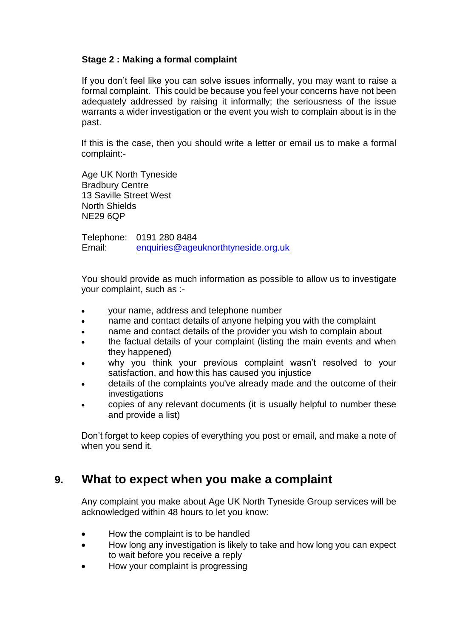### **Stage 2 : Making a formal complaint**

If you don't feel like you can solve issues informally, you may want to raise a formal complaint. This could be because you feel your concerns have not been adequately addressed by raising it informally; the seriousness of the issue warrants a wider investigation or the event you wish to complain about is in the past.

If this is the case, then you should write a letter or email us to make a formal complaint:-

Age UK North Tyneside Bradbury Centre 13 Saville Street West North Shields NE29 6QP

Telephone: 0191 280 8484 Email: [enquiries@ageuknorthtyneside.org.uk](mailto:enquiries@ageuknorthtyneside.org.uk)

You should provide as much information as possible to allow us to investigate your complaint, such as :-

- your name, address and telephone number
- name and contact details of anyone helping you with the complaint
- name and contact details of the provider you wish to complain about
- the factual details of your complaint (listing the main events and when they happened)
- why you think your previous complaint wasn't resolved to your satisfaction, and how this has caused you injustice
- details of the complaints you've already made and the outcome of their **investigations**
- copies of any relevant documents (it is usually helpful to number these and provide a list)

Don't forget to keep copies of everything you post or email, and make a note of when you send it.

### **9. What to expect when you make a complaint**

Any complaint you make about Age UK North Tyneside Group services will be acknowledged within 48 hours to let you know:

- How the complaint is to be handled
- How long any investigation is likely to take and how long you can expect to wait before you receive a reply
- How your complaint is progressing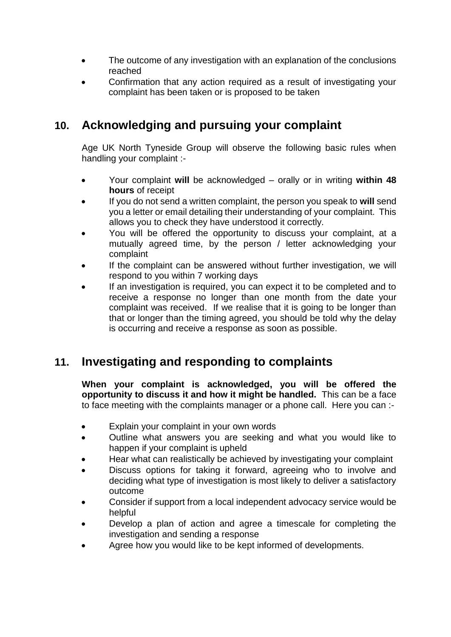- The outcome of any investigation with an explanation of the conclusions reached
- Confirmation that any action required as a result of investigating your complaint has been taken or is proposed to be taken

## **10. Acknowledging and pursuing your complaint**

Age UK North Tyneside Group will observe the following basic rules when handling your complaint :-

- Your complaint **will** be acknowledged orally or in writing **within 48 hours** of receipt
- If you do not send a written complaint, the person you speak to **will** send you a letter or email detailing their understanding of your complaint. This allows you to check they have understood it correctly.
- You will be offered the opportunity to discuss your complaint, at a mutually agreed time, by the person / letter acknowledging your complaint
- If the complaint can be answered without further investigation, we will respond to you within 7 working days
- If an investigation is required, you can expect it to be completed and to receive a response no longer than one month from the date your complaint was received. If we realise that it is going to be longer than that or longer than the timing agreed, you should be told why the delay is occurring and receive a response as soon as possible.

# **11. Investigating and responding to complaints**

**When your complaint is acknowledged, you will be offered the opportunity to discuss it and how it might be handled.** This can be a face to face meeting with the complaints manager or a phone call. Here you can :-

- Explain your complaint in your own words
- Outline what answers you are seeking and what you would like to happen if your complaint is upheld
- Hear what can realistically be achieved by investigating your complaint
- Discuss options for taking it forward, agreeing who to involve and deciding what type of investigation is most likely to deliver a satisfactory outcome
- Consider if support from a local independent advocacy service would be helpful
- Develop a plan of action and agree a timescale for completing the investigation and sending a response
- Agree how you would like to be kept informed of developments.